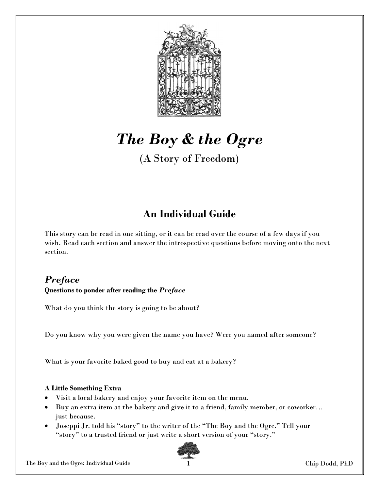

# The Boy & the Ogre

(A Story of Freedom)

## An Individual Guide

This story can be read in one sitting, or it can be read over the course of a few days if you wish. Read each section and answer the introspective questions before moving onto the next section.

#### **Preface** Questions to ponder after reading the Preface

What do you think the story is going to be about?

Do you know why you were given the name you have? Were you named after someone?

What is your favorite baked good to buy and eat at a bakery?

#### A Little Something Extra

- Visit a local bakery and enjoy your favorite item on the menu.
- Buy an extra item at the bakery and give it to a friend, family member, or coworker… just because.
- Joseppi Jr. told his "story" to the writer of the "The Boy and the Ogre." Tell your "story" to a trusted friend or just write a short version of your "story."



The Boy and the Ogre: Individual Guide 1 and 1 and 1 and 1 and 1 and 1 and 1 and 1 and 1 and 1 and 1 and 1 and 1 and 1 and 1 and 1 and 1 and 1 and 1 and 1 and 1 and 1 and 1 and 1 and 1 and 1 and 1 and 1 and 1 and 1 and 1 a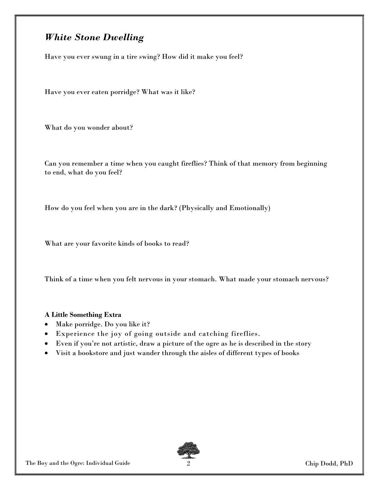## White Stone Dwelling

Have you ever swung in a tire swing? How did it make you feel?

Have you ever eaten porridge? What was it like?

What do you wonder about?

Can you remember a time when you caught fireflies? Think of that memory from beginning to end, what do you feel?

How do you feel when you are in the dark? (Physically and Emotionally)

What are your favorite kinds of books to read?

Think of a time when you felt nervous in your stomach. What made your stomach nervous?

#### A Little Something Extra

- Make porridge. Do you like it?
- Experience the joy of going outside and catching fireflies.
- Even if you're not artistic, draw a picture of the ogre as he is described in the story
- Visit a bookstore and just wander through the aisles of different types of books

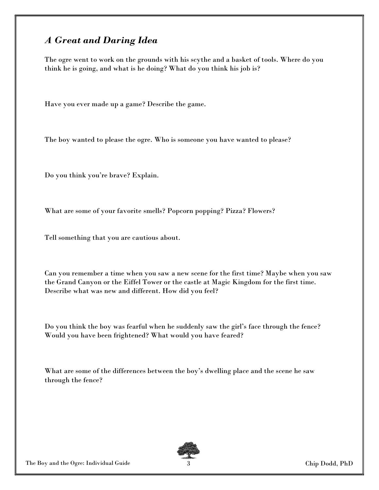## A Great and Daring Idea

The ogre went to work on the grounds with his scythe and a basket of tools. Where do you think he is going, and what is he doing? What do you think his job is?

Have you ever made up a game? Describe the game.

The boy wanted to please the ogre. Who is someone you have wanted to please?

Do you think you're brave? Explain.

What are some of your favorite smells? Popcorn popping? Pizza? Flowers?

Tell something that you are cautious about.

Can you remember a time when you saw a new scene for the first time? Maybe when you saw the Grand Canyon or the Eiffel Tower or the castle at Magic Kingdom for the first time. Describe what was new and different. How did you feel?

Do you think the boy was fearful when he suddenly saw the girl's face through the fence? Would you have been frightened? What would you have feared?

What are some of the differences between the boy's dwelling place and the scene he saw through the fence?

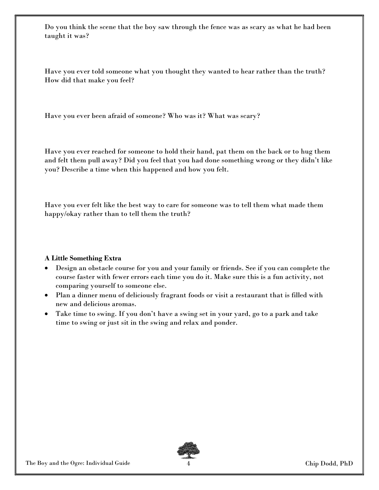Do you think the scene that the boy saw through the fence was as scary as what he had been taught it was?

Have you ever told someone what you thought they wanted to hear rather than the truth? How did that make you feel?

Have you ever been afraid of someone? Who was it? What was scary?

Have you ever reached for someone to hold their hand, pat them on the back or to hug them and felt them pull away? Did you feel that you had done something wrong or they didn't like you? Describe a time when this happened and how you felt.

Have you ever felt like the best way to care for someone was to tell them what made them happy/okay rather than to tell them the truth?

#### A Little Something Extra

- Design an obstacle course for you and your family or friends. See if you can complete the course faster with fewer errors each time you do it. Make sure this is a fun activity, not comparing yourself to someone else.
- Plan a dinner menu of deliciously fragrant foods or visit a restaurant that is filled with new and delicious aromas.
- Take time to swing. If you don't have a swing set in your yard, go to a park and take time to swing or just sit in the swing and relax and ponder.



The Boy and the Ogre: Individual Guide 4 Chip Dodd, PhD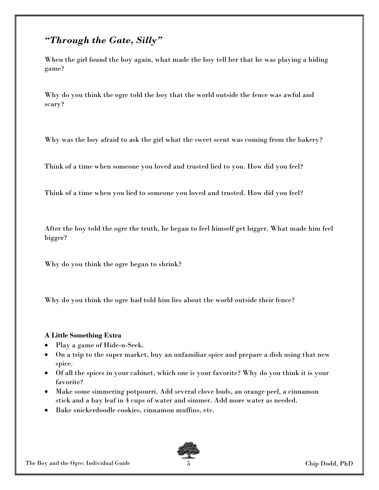## "Through the Gate, Silly"

When the girl found the boy again, what made the boy tell her that he was playing a hiding game?

Why do you think the ogre told the boy that the world outside the fence was awful and scary?

Why was the boy afraid to ask the girl what the sweet scent was coming from the bakery?

Think of a time when someone you loved and trusted lied to you. How did you feel?

Think of a time when you lied to someone you loved and trusted. How did you feel?

After the boy told the ogre the truth, he began to feel himself get bigger. What made him feel bigger?

Why do you think the ogre began to shrink?

Why do you think the ogre had told him lies about the world outside their fence?

#### A Little Something Extra

- Play a game of Hide-n-Seek.
- On a trip to the super market, buy an unfamiliar spice and prepare a dish using that new spice.
- Of all the spices in your cabinet, which one is your favorite? Why do you think it is your favorite?
- Make some simmering potpourri. Add several clove buds, an orange peel, a cinnamon stick and a bay leaf in 4 cups of water and simmer. Add more water as needed.
- Bake snickerdoodle cookies, cinnamon muffins, etc.